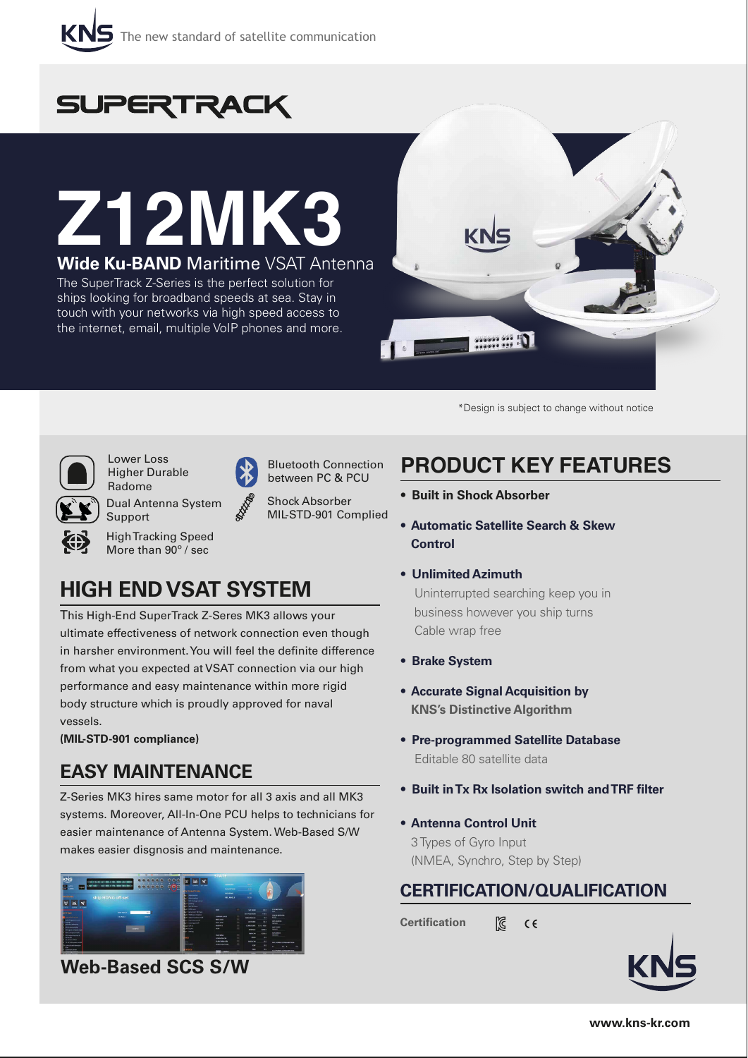



# **Z12MK3 Wide Ku-BAND** Maritime VSAT Antenna

The SuperTrack Z-Series is the perfect solution for ships looking for broadband speeds at sea. Stay in touch with your networks via high speed access to the internet, email, multiple VoIP phones and more.



\*Design is subject to change without notice



Lower Loss Higher Durable Radome

Dual Antenna System Support

High Tracking Speed More than 90º / sec

# **HIGH END VSAT SYSTEM**

This High-End SuperTrack Z-Seres MK3 allows your ultimate effectiveness of network connection even though in harsher environment. You will feel the definite difference from what you expected at VSAT connection via our high performance and easy maintenance within more rigid body structure which is proudly approved for naval vessels.

Bluetooth Connection between PC & PCU Shock Absorber MIL-STD-901 Complied

**(MIL-STD-901 compliance)**

# **EASY MAINTENANCE**

Z-Series MK3 hires same motor for all 3 axis and all MK3 systems. Moreover, All-In-One PCU helps to technicians for easier maintenance of Antenna System. Web-Based S/W makes easier disgnosis and maintenance.



**Web-Based SCS S/W**

# **PRODUCT KEY FEATURES**

- **Built in Shock Absorber**
- **Automatic Satellite Search & Skew Control**
- **Unlimited Azimuth**

 Uninterrupted searching keep you in business however you ship turns Cable wrap free

- **Brake System**
- **Accurate Signal Acquisition by KNS's Distinctive Algorithm**
- **Pre-programmed Satellite Database** Editable 80 satellite data
- **Built in Tx Rx Isolation switch and TRF filter**
- **Antenna Control Unit** 3 Types of Gyro Input (NMEA, Synchro, Step by Step)

# **CERTIFICATION/QUALIFICATION**

**Certification** D.  $C \in$